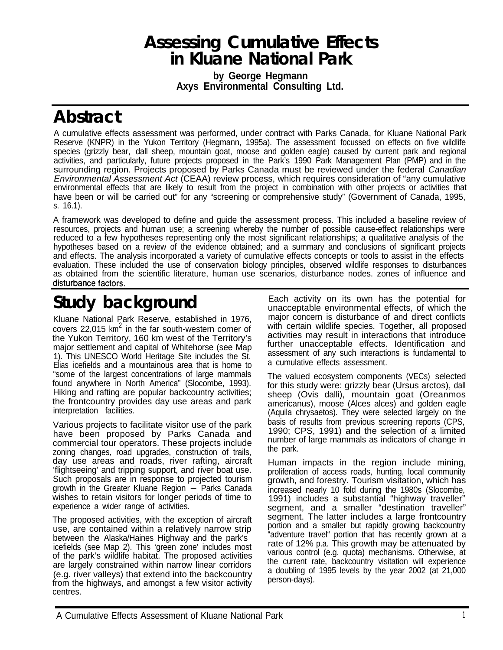## **Assessing Cumulative Effects in Kluane National Park**

**by George Hegmann Axys Environmental Consulting Ltd.**

# **Abstract**

A cumulative effects assessment was performed, under contract with Parks Canada, for Kluane National Park Reserve (KNPR) in the Yukon Territory (Hegmann, 1995a). The assessment focussed on effects on five wildlife species (grizzly bear, dall sheep, mountain goat, moose and golden eagle) caused by current park and regional activities, and particularly, future projects proposed in the Park's 1990 Park Management Plan (PMP) and in the surrounding region. Projects proposed by Parks Canada must be reviewed under the federal *Canadian Environmental Assessment Act* (CEAA) review process, which requires consideration of "any cumulative environmental effects that are likely to result from the project in combination with other projects or activities that have been or will be carried out" for any "screening or comprehensive study" (Government of Canada, 1995, s. 16.1).

A framework was developed to define and guide the assessment process. This included a baseline review of resources, projects and human use; a screening whereby the number of possible cause-effect relationships were reduced to a few hypotheses representing only the most significant relationships; a qualitative analysis of the hypotheses based on a review of the evidence obtained; and a summary and conclusions of significant projects and effects. The analysis incorporated a variety of cumulative effects concepts or tools to assist in the effects evaluation. These included the use of conservation biology principles, observed wildlife responses to disturbances as obtained from the scientific literature, human use scenarios, disturbance nodes. zones of influence and

# **Study background**

Kluane National Park Reserve, established in 1976, covers 22,015  $km^2$  in the far south-western corner of the Yukon Territory, 160 km west of the Territory's major settlement and capital of Whitehorse (see Map 1). This UNESCO World Heritage Site includes the St. Elias icefields and a mountainous area that is home to "some of the largest concentrations of large mammals found anywhere in North America" (Slocombe, 1993). Hiking and rafting are popular backcountry activities; the frontcountry provides day use areas and park interpretation facilities.

Various projects to facilitate visitor use of the park have been proposed by Parks Canada and commercial tour operators. These projects include zoning changes, road upgrades, construction of trails, day use areas and roads, river rafting, aircraft 'flightseeing' and tripping support, and river boat use. Such proposals are in response to projected tourism<br>growth in the Greater Kluane Region - Parks Canada wishes to retain visitors for longer periods of time to experience a wider range of activities.

The proposed activities, with the exception of aircraft use, are contained within a relatively narrow strip between the Alaska/Haines Highway and the park's icefields (see Map 2). This 'green zone' includes most of the park's wildlife habitat. The proposed activities are largely constrained within narrow linear corridors (e.g. river valleys) that extend into the backcountry from the highways, and amongst a few visitor activity centres.

Each activity on its own has the potential for unacceptable environmental effects, of which the major concern is disturbance of and direct conflicts with certain wildlife species. Together, all proposed activities may result in interactions that introduce further unacceptable effects. Identification and assessment of any such interactions is fundamental to a cumulative effects assessment.

The valued ecosystem components (VECs) selected for this study were: grizzly bear (Ursus arctos), dall sheep (Ovis dalli), mountain goat (Oreanmos americanus), moose (Alces alces) and golden eagle (Aquila chrysaetos). They were selected largely on the basis of results from previous screening reports (CPS, 1990; CPS, 1991) and the selection of a limited number of large mammals as indicators of change in the park.

Human impacts in the region include mining, proliferation of access roads, hunting, local community growth, and forestry. Tourism visitation, which has increased nearly 10 fold during the 1980s (Slocombe, 1991) includes a substantial "highway traveller" segment, and a smaller "destination traveller" segment. The latter includes a large frontcountry portion and a smaller but rapidly growing backcountry "adventure travel" portion that has recently grown at a rate of 12% p.a. This growth may be attenuated by various control (e.g. quota) mechanisms. Otherwise, at the current rate, backcountry visitation will experience a doubling of 1995 levels by the year 2002 (at 21,000 person-days).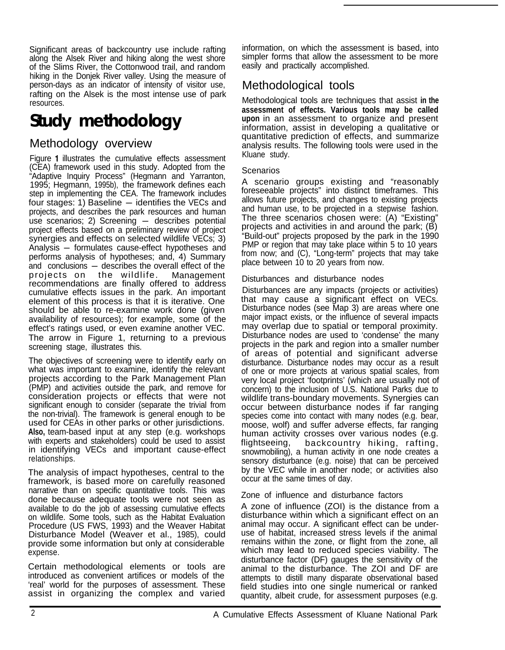Significant areas of backcountry use include rafting along the Alsek River and hiking along the west shore of the Slims River, the Cottonwood trail, and random hiking in the Donjek River valley. Using the measure of person-days as an indicator of intensity of visitor use, rafting on the Alsek is the most intense use of park resources.

# **Study methodology**

## Methodology overview

Figure 1 illustrates the cumulative effects assessment (CEA) framework used in this study. Adopted from the "Adaptive Inquiry Process" (Hegmann and Yarranton, 1995; Hegmann, 1995b), the framework defines each 1995, Heginami, 1995b), the hamework defines each<br>step in implementing the CEA. The framework includes<br>four stages: 1) Baseline — identifies the VECs and projects, and describes the park resources and human four stages: 1) Baseline  $-$  identifies the VECs and projects, and describes the park resources and human use scenarios; 2) Screening  $-$  describes potential project effects based on a preliminary review of project synergies and effects on selected wildlife VECs; 3) Analysis -formulates cause-effect hypotheses and performs analysis of hypotheses; and, 4) Summary and conclusions - describes the overall effect of the projects on the wildlife. Management recommendations are finally offered to address cumulative effects issues in the park. An important element of this process is that it is iterative. One should be able to re-examine work done (given availability of resources); for example, some of the effect's ratings used, or even examine another VEC. The arrow in Figure 1, returning to a previous screening stage, illustrates this.

The objectives of screening were to identify early on what was important to examine, identify the relevant projects according to the Park Management Plan (PMP) and activities outside the park, and remove for consideration projects or effects that were not significant enough to consider (separate the trivial from the non-trivial). The framework is general enough to be used for CEAs in other parks or other jurisdictions. **Also,** team-based input at any step (e.g. workshops with experts and stakeholders) could be used to assist in identifying VECs and important cause-effect relationships.

The analysis of impact hypotheses, central to the framework, is based more on carefully reasoned narrative than on specific quantitative tools. This was done because adequate tools were not seen as available to do the job of assessing cumulative effects on wildlife. Some tools, such as the Habitat Evaluation Procedure (US FWS, 1993) and the Weaver Habitat Disturbance Model (Weaver et al., 1985), could provide some information but only at considerable expense.

Certain methodological elements or tools are introduced as convenient artifices or models of the 'real' world for the purposes of assessment. These assist in organizing the complex and varied information, on which the assessment is based, into simpler forms that allow the assessment to be more easily and practically accomplished.

## Methodological tools

Methodological tools are techniques that assist **in the assessment of effects. Various tools may be called upon** in an assessment to organize and present information, assist in developing a qualitative or quantitative prediction of effects, and summarize analysis results. The following tools were used in the Kluane study.

#### **Scenarios**

A scenario groups existing and "reasonably foreseeable projects" into distinct timeframes. This allows future projects, and changes to existing projects and human use, to be projected in a stepwise fashion. The three scenarios chosen were: (A) "Existing" projects and activities in and around the park; (B) "Build-out" projects proposed by the park in the 1990 PMP or region that may take place within 5 to 10 years from now; and (C), "Long-term" projects that may take place between 10 to 20 years from now.

#### Disturbances and disturbance nodes

Disturbances are any impacts (projects or activities) that may cause a significant effect on VECs. Disturbance nodes (see Map 3) are areas where one major impact exists, or the influence of several impacts may overlap due to spatial or temporal proximity. Disturbance nodes are used to 'condense' the many projects in the park and region into a smaller number of areas of potential and significant adverse disturbance. Disturbance nodes may occur as a result of one or more projects at various spatial scales, from very local project 'footprints' (which are usually not of concern) to the inclusion of U.S. National Parks due to wildlife trans-boundary movements. Synergies can occur between disturbance nodes if far ranging species come into contact with many nodes (e.g. bear, moose, wolf) and suffer adverse effects, far ranging human activity crosses over various nodes (e.g. flightseeing, backcountry hiking, rafting, snowmobiling), a human activity in one node creates a sensory disturbance (e.g. noise) that can be perceived by the VEC while in another node; or activities also occur at the same times of day.

#### Zone of influence and disturbance factors

A zone of influence (ZOI) is the distance from a disturbance within which a significant effect on an animal may occur. A significant effect can be underuse of habitat, increased stress levels if the animal remains within the zone, or flight from the zone, all which may lead to reduced species viability. The disturbance factor (DF) gauges the sensitivity of the animal to the disturbance. The ZOI and DF are attempts to distill many disparate observational based field studies into one single numerical or ranked quantity, albeit crude, for assessment purposes (e.g.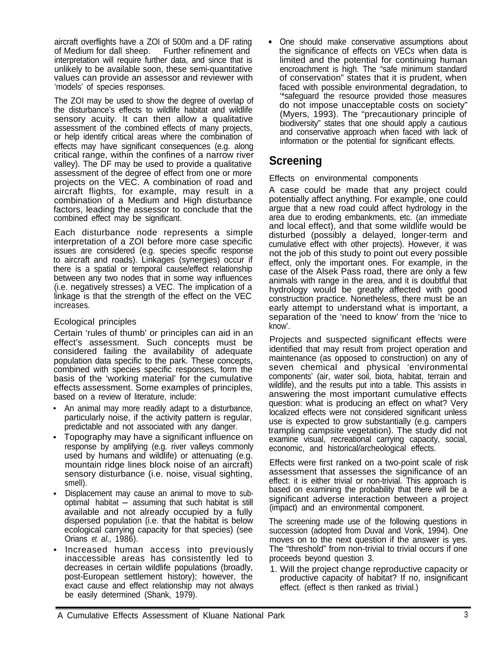aircraft overflights have a ZOI of 500m and a DF rating of Medium for dall sheep. Further refinement and interpretation will require further data, and since that is unlikely to be available soon, these semi-quantitative values can provide an assessor and reviewer with 'models' of species responses.

The ZOI may be used to show the degree of overlap of the disturbance's effects to wildlife habitat and wildlife sensory acuity. It can then allow a qualitative assessment of the combined effects of many projects, or help identify critical areas where the combination of effects may have significant consequences (e.g. along critical range, within the confines of a narrow river valley). The DF may be used to provide a qualitative assessment of the degree of effect from one or more projects on the VEC. A combination of road and aircraft flights, for example, may result in a combination of a Medium and High disturbance factors, leading the assessor to conclude that the combined effect may be significant.

Each disturbance node represents a simple interpretation of a ZOI before more case specific issues are considered (e.g. species specific response to aircraft and roads). Linkages (synergies) occur if there is a spatial or temporal cause/effect relationship between any two nodes that in some way influences (i.e. negatively stresses) a VEC. The implication of a linkage is that the strength of the effect on the VEC increases.

#### Ecological principles

Certain 'rules of thumb' or principles can aid in an effect's assessment. Such concepts must be considered failing the availability of adequate population data specific to the park. These concepts, combined with species specific responses, form the basis of the 'working material' for the cumulative effects assessment. Some examples of principles, based on a review of literature, include:

- An animal may more readily adapt to a disturbance, particularly noise, if the activity pattern is regular, predictable and not associated with any danger.
- Topography may have a significant influence on response by amplifying (e.g. river valleys commonly used by humans and wildlife) or attenuating (e.g. mountain ridge lines block noise of an aircraft) sensory disturbance (i.e. noise, visual sighting, smell).
- Displacement may cause an animal to move to sub-optimal habitat- assuming that such habitat is still available and not already occupied by a fully dispersed population (i.e. that the habitat is below ecological carrying capacity for that species) (see Orians *et. al.,* 1986).
- Increased human access into previously inaccessible areas has consistently led to decreases in certain wildlife populations (broadly, post-European settlement history); however, the exact cause and effect relationship may not always be easily determined (Shank, 1979).

. One should make conservative assumptions about the significance of effects on VECs when data is limited and the potential for continuing human encroachment is high. The "safe minimum standard of conservation" states that it is prudent, when faced with possible environmental degradation, to '\*safeguard the resource provided those measures do not impose unacceptable costs on society" (Myers, 1993). The "precautionary principle of biodiversity" states that one should apply a cautious and conservative approach when faced with lack of information or the potential for significant effects.

## **Screening**

Effects on environmental components

A case could be made that any project could potentially affect anything. For example, one could argue that a new road could affect hydrology in the area due to eroding embankments, etc. (an immediate and local effect), and that some wildlife would be disturbed (possibly a delayed, longer-term and cumulative effect with other projects). However, it was not the job of this study to point out every possible effect, only the important ones. For example, in the case of the Alsek Pass road, there are only a few animals with range in the area, and it is doubtful that hydrology would be greatly affected with good construction practice. Nonetheless, there must be an early attempt to understand what is important, a separation of the 'need to know' from the 'nice to know'.

Projects and suspected significant effects were identified that may result from project operation and maintenance (as opposed to construction) on any of seven chemical and physical 'environmental components' (air, water soil, biota, habitat, terrain and wildlife), and the results put into a table. This assists in answering the most important cumulative effects question: what is producing an effect on what? Very localized effects were not considered significant unless use is expected to grow substantially (e.g. campers trampling campsite vegetation). The study did not examine visual, recreational carrying capacity, social, economic, and historical/archeological effects.

Effects were first ranked on a two-point scale of risk assessment that assesses the significance of an effect: it is either trivial or non-trivial. This approach is based on examining the probability that there will be a significant adverse interaction between a project (impact) and an environmental component.

The screening made use of the following questions in succession (adopted from Duval and Vonk, 1994). One moves on to the next question if the answer is yes. The "threshold" from non-trivial to trivial occurs if one proceeds beyond question 3.

1. Will the project change reproductive capacity or productive capacity of habitat? If no, insignificant effect. (effect is then ranked as trivial.)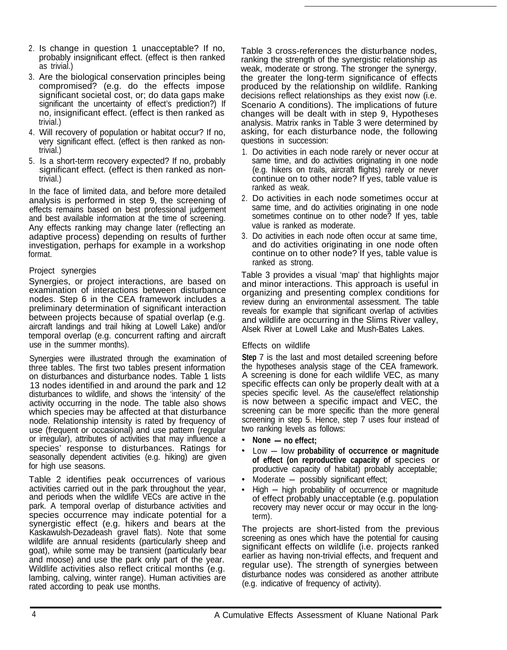- 2. Is change in question 1 unacceptable? If no, probably insignificant effect. (effect is then ranked as trivial.)
- 3. Are the biological conservation principles being compromised? (e.g. do the effects impose significant societal cost, or; do data gaps make significant the uncertainty of effect's prediction?) If no, insignificant effect. (effect is then ranked as trivial.)
- 4. Will recovery of population or habitat occur? If no, very significant effect. (effect is then ranked as nontrivial.)
- 5. Is a short-term recovery expected? If no, probably significant effect. (effect is then ranked as nontrivial.)

In the face of limited data, and before more detailed analysis is performed in step 9, the screening of effects remains based on best professional judgement and best available information at the time of screening. Any effects ranking may change later (reflecting an adaptive process) depending on results of further investigation, perhaps for example in a workshop format.

#### Project synergies

Synergies, or project interactions, are based on examination of interactions between disturbance nodes. Step 6 in the CEA framework includes a preliminary determination of significant interaction between projects because of spatial overlap (e.g. aircraft landings and trail hiking at Lowell Lake) and/or temporal overlap (e.g. concurrent rafting and aircraft use in the summer months).

Synergies were illustrated through the examination of three tables. The first two tables present information on disturbances and disturbance nodes. Table 1 lists 13 nodes identified in and around the park and 12 disturbances to wildlife, and shows the 'intensity' of the activity occurring in the node. The table also shows which species may be affected at that disturbance node. Relationship intensity is rated by frequency of use (frequent or occasional) and use pattern (regular or irregular), attributes of activities that may influence a species' response to disturbances. Ratings for seasonally dependent activities (e.g. hiking) are given for high use seasons.

Table 2 identifies peak occurrences of various activities carried out in the park throughout the year, and periods when the wildlife VECs are active in the park. A temporal overlap of disturbance activities and species occurrence may indicate potential for a synergistic effect (e.g. hikers and bears at the Kaskawulsh-Dezadeash gravel flats). Note that some wildlife are annual residents (particularly sheep and goat), while some may be transient (particularly bear and moose) and use the park only part of the year. Wildlife activities also reflect critical months (e.g. lambing, calving, winter range). Human activities are rated according to peak use months.

Table 3 cross-references the disturbance nodes, ranking the strength of the synergistic relationship as weak, moderate or strong. The stronger the synergy, the greater the long-term significance of effects produced by the relationship on wildlife. Ranking decisions reflect relationships as they exist now (i.e. Scenario A conditions). The implications of future changes will be dealt with in step 9, Hypotheses analysis. Matrix ranks in Table 3 were determined by asking, for each disturbance node, the following questions in succession:

- 1. Do activities in each node rarely or never occur at same time, and do activities originating in one node (e.g. hikers on trails, aircraft flights) rarely or never continue on to other node? If yes, table value is ranked as weak.
- 2. Do activities in each node sometimes occur at same time, and do activities originating in one node sometimes continue on to other node? If yes, table value is ranked as moderate.
- 3. Do activities in each node often occur at same time, and do activities originating in one node often continue on to other node? If yes, table value is ranked as strong.

Table 3 provides a visual 'map' that highlights major and minor interactions. This approach is useful in organizing and presenting complex conditions for review during an environmental assessment. The table reveals for example that significant overlap of activities and wildlife are occurring in the Slims River valley, Alsek River at Lowell Lake and Mush-Bates Lakes.

#### Effects on wildlife

**Step** 7 is the last and most detailed screening before the hypotheses analysis stage of the CEA framework. A screening is done for each wildlife VEC, as many specific effects can only be properly dealt with at a species specific level. As the cause/effect relationship is now between a specific impact and VEC, the screening can be more specific than the more general screening in step 5. Hence, step 7 uses four instead of two ranking levels as follows: eening in step 5. I<br>Pranking levels as<br>None — no effect;

- 
- None no effect;<br>Low low probability of occurrence or magnitude **of effect (on reproductive capacity of** species or productive capacity of habitat) probably acceptable;<br>Moderate — possibly significant effect;
- 
- Moderate possibly significant effect;<br>High high probability of occurrence or magnitude of effect probably unacceptable (e.g. population recovery may never occur or may occur in the longterm).

The projects are short-listed from the previous screening as ones which have the potential for causing significant effects on wildlife (i.e. projects ranked earlier as having non-trivial effects, and frequent and regular use). The strength of synergies between disturbance nodes was considered as another attribute (e.g. indicative of frequency of activity).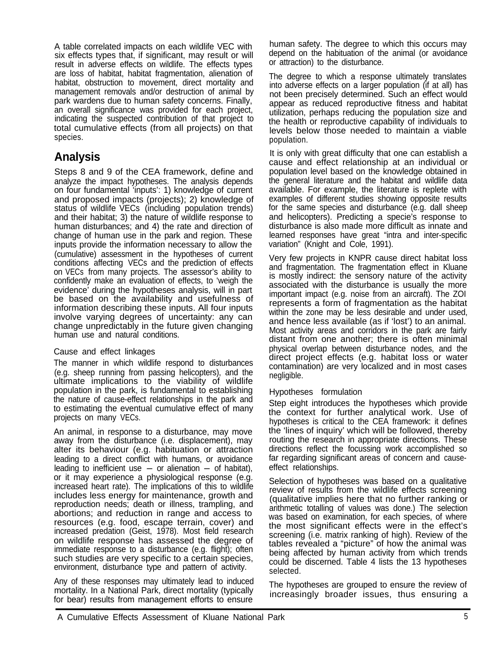A table correlated impacts on each wildlife VEC with six effects types that, if significant, may result or will result in adverse effects on wildlife. The effects types are loss of habitat, habitat fragmentation, alienation of habitat, obstruction to movement, direct mortality and management removals and/or destruction of animal by park wardens due to human safety concerns. Finally, an overall significance was provided for each project, indicating the suspected contribution of that project to total cumulative effects (from all projects) on that species.

## **Analysis**

Steps 8 and 9 of the CEA framework, define and analyze the impact hypotheses. The analysis depends on four fundamental 'inputs': 1) knowledge of current and proposed impacts (projects); 2) knowledge of status of wildlife VECs (including population trends) and their habitat; 3) the nature of wildlife response to human disturbances; and 4) the rate and direction of change of human use in the park and region. These inputs provide the information necessary to allow the (cumulative) assessment in the hypotheses of current conditions affecting VECs and the prediction of effects on VECs from many projects. The assessor's ability to confidently make an evaluation of effects, to 'weigh the evidence' during the hypotheses analysis, will in part be based on the availability and usefulness of information describing these inputs. All four inputs involve varying degrees of uncertainty: any can change unpredictably in the future given changing human use and natural conditions.

#### Cause and effect linkages

The manner in which wildlife respond to disturbances (e.g. sheep running from passing helicopters), and the ultimate implications to the viability of wildlife population in the park, is fundamental to establishing the nature of cause-effect relationships in the park and to estimating the eventual cumulative effect of many projects on many VECs.

An animal, in response to a disturbance, may move away from the disturbance (i.e. displacement), may alter its behaviour (e.g. habituation or attraction leading to a direct conflict with humans, or avoidance leading to inefficient use  $-$  or alienation  $-$  of habitat), or it may experience a physiological response (e.g. increased heart rate). The implications of this to wildlife includes less energy for maintenance, growth and reproduction needs; death or illness, trampling, and abortions; and reduction in range and access to resources (e.g. food, escape terrain, cover) and increased predation (Geist, 1978). Most field research on wildlife response has assessed the degree of immediate response to a disturbance (e.g. flight); often such studies are very specific to a certain species, environment, disturbance type and pattern of activity.

Any of these responses may ultimately lead to induced mortality. In a National Park, direct mortality (typically for bear) results from management efforts to ensure

human safety. The degree to which this occurs may depend on the habituation of the animal (or avoidance or attraction) to the disturbance.

The degree to which a response ultimately translates into adverse effects on a larger population (if at all) has not been precisely determined. Such an effect would appear as reduced reproductive fitness and habitat utilization, perhaps reducing the population size and the health or reproductive capability of individuals to levels below those needed to maintain a viable population.

It is only with great difficulty that one can establish a cause and effect relationship at an individual or population level based on the knowledge obtained in the general literature and the habitat and wildlife data available. For example, the literature is replete with examples of different studies showing opposite results for the same species and disturbance (e.g. dall sheep and helicopters). Predicting a specie's response to disturbance is also made more difficult as innate and learned responses have great "intra and inter-specific variation" (Knight and Cole, 1991).

Very few projects in KNPR cause direct habitat loss and fragmentation. The fragmentation effect in Kluane is mostly indirect: the sensory nature of the activity associated with the disturbance is usually the more important impact (e.g. noise from an aircraft). The ZOI represents a form of fragmentation as the habitat within the zone may be less desirable and under used, and hence less available (as if 'lost') to an animal. Most activity areas and corridors in the park are fairly distant from one another; there is often minimal physical overlap between disturbance nodes, and the direct project effects (e.g. habitat loss or water contamination) are very localized and in most cases negligible.

### Hypotheses formulation

Step eight introduces the hypotheses which provide the context for further analytical work. Use of hypotheses is critical to the CEA framework: it defines the 'lines of inquiry' which will be followed, thereby routing the research in appropriate directions. These directions reflect the focussing work accomplished so far regarding significant areas of concern and causeeffect relationships.

Selection of hypotheses was based on a qualitative review of results from the wildlife effects screening (qualitative implies here that no further ranking or arithmetic totalling of values was done.) The selection was based on examination, for each species, of where the most significant effects were in the effect's screening (i.e. matrix ranking of high). Review of the tables revealed a "picture" of how the animal was being affected by human activity from which trends could be discerned. Table 4 lists the 13 hypotheses selected.

The hypotheses are grouped to ensure the review of increasingly broader issues, thus ensuring a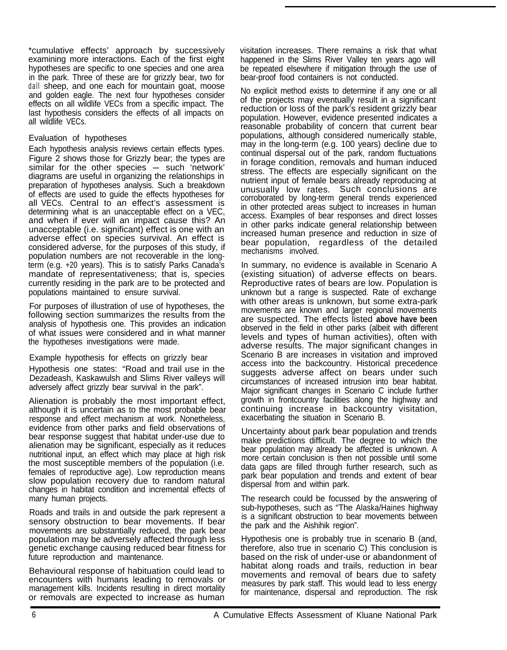\*cumulative effects' approach by successively examining more interactions. Each of the first eight hypotheses are specific to one species and one area in the park. Three of these are for grizzly bear, two for dall sheep, and one each for mountain goat, moose and golden eagle. The next four hypotheses consider effects on all wildlife VECs from a specific impact. The last hypothesis considers the effects of all impacts on all wildlife VECs.

#### Evaluation of hypotheses

Each hypothesis analysis reviews certain effects types. Figure 2 shows those for Grizzly bear; the types are similar for the other species - such 'network' diagrams are useful in organizing the relationships in preparation of hypotheses analysis. Such a breakdown of effects are used to guide the effects hypotheses for all VECs. Central to an effect's assessment is determining what is an unacceptable effect on a VEC, and when if ever will an impact cause this? An unacceptable (i.e. significant) effect is one with an adverse effect on species survival. An effect is considered adverse, for the purposes of this study, if population numbers are not recoverable in the longterm (e.g. +20 years). This is to satisfy Parks Canada's mandate of representativeness; that is, species currently residing in the park are to be protected and populations maintained to ensure survival.

For purposes of illustration of use of hypotheses, the following section summarizes the results from the analysis of hypothesis one. This provides an indication of what issues were considered and in what manner the hypotheses investigations were made.

Example hypothesis for effects on grizzly bear Hypothesis one states: "Road and trail use in the Dezadeash, Kaskawulsh and Slims River valleys will adversely affect grizzly bear survival in the park".

Alienation is probably the most important effect, although it is uncertain as to the most probable bear response and effect mechanism at work. Nonetheless, evidence from other parks and field observations of bear response suggest that habitat under-use due to alienation may be significant, especially as it reduces nutritional input, an effect which may place at high risk the most susceptible members of the population (i.e. females of reproductive age). Low reproduction means slow population recovery due to random natural changes in habitat condition and incremental effects of many human projects.

Roads and trails in and outside the park represent a sensory obstruction to bear movements. If bear movements are substantially reduced, the park bear population may be adversely affected through less genetic exchange causing reduced bear fitness for future reproduction and maintenance.

Behavioural response of habituation could lead to encounters with humans leading to removals or management kills. Incidents resulting in direct mortality or removals are expected to increase as human

visitation increases. There remains a risk that what happened in the Slims River Valley ten years ago will be repeated elsewhere if mitigation through the use of bear-proof food containers is not conducted.

No explicit method exists to determine if any one or all of the projects may eventually result in a significant reduction or loss of the park's resident grizzly bear population. However, evidence presented indicates a reasonable probability of concern that current bear populations, although considered numerically stable, may in the long-term (e.g. 100 years) decline due to continual dispersal out of the park, random fluctuations in forage condition, removals and human induced stress. The effects are especially significant on the nutrient input of female bears already reproducing at unusually low rates. Such conclusions are corroborated by long-term general trends experienced in other protected areas subject to increases in human access. Examples of bear responses and direct losses in other parks indicate general relationship between increased human presence and reduction in size of bear population, regardless of the detailed mechanisms involved.

In summary, no evidence is available in Scenario A (existing situation) of adverse effects on bears. Reproductive rates of bears are low. Population is unknown but a range is suspected. Rate of exchange with other areas is unknown, but some extra-park movements are known and larger regional movements are suspected. The effects listed **above have been** observed in the field in other parks (albeit with different levels and types of human activities), often with adverse results. The major significant changes in Scenario B are increases in visitation and improved access into the backcountry. Historical precedence suggests adverse affect on bears under such circumstances of increased intrusion into bear habitat. Major significant changes in Scenario C include further growth in frontcountry facilities along the highway and continuing increase in backcountry visitation, exacerbating the situation in Scenario B.

Uncertainty about park bear population and trends make predictions difficult. The degree to which the bear population may already be affected is unknown. A more certain conclusion is then not possible until some data gaps are filled through further research, such as park bear population and trends and extent of bear dispersal from and within park.

The research could be focussed by the answering of sub-hypotheses, such as "The Alaska/Haines highway is a significant obstruction to bear movements between the park and the Aishihik region".

Hypothesis one is probably true in scenario B (and, therefore, also true in scenario C) This conclusion is based on the risk of under-use or abandonment of habitat along roads and trails, reduction in bear movements and removal of bears due to safety measures by park staff. This would lead to less energy for maintenance, dispersal and reproduction. The risk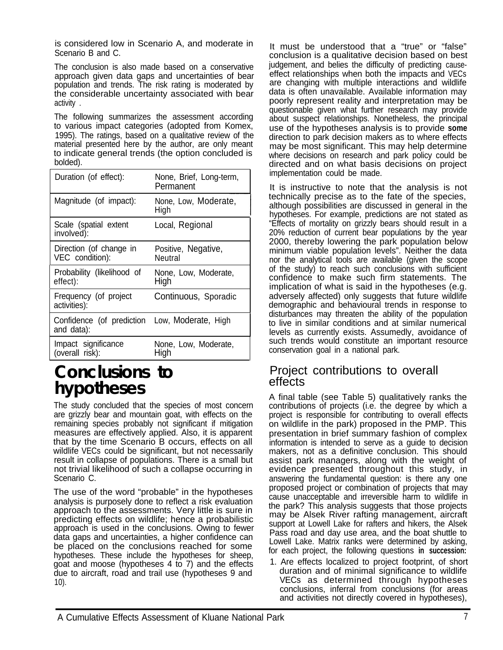is considered low in Scenario A, and moderate in Scenario B and C.

The conclusion is also made based on a conservative approach given data gaps and uncertainties of bear population and trends. The risk rating is moderated by the considerable uncertainty associated with bear activity .

The following summarizes the assessment according to various impact categories (adopted from Komex, 1995). The ratings, based on a qualitative review of the material presented here by the author, are only meant to indicate general trends (the option concluded is bolded).

| Duration (of effect):                                       | None, Brief, Long-term,<br>Permanent |
|-------------------------------------------------------------|--------------------------------------|
| Magnitude (of impact):                                      | None, Low, Moderate,<br>High         |
| Scale (spatial extent<br>involved):                         | Local, Regional                      |
| Direction (of change in<br>VEC condition):                  | Positive, Negative,<br>Neutral       |
| Probability (likelihood of<br>effect):                      | None, Low, Moderate,<br>High         |
| Frequency (of project<br>activities):                       | Continuous, Sporadic                 |
| Confidence (of prediction Low, Moderate, High<br>and data): |                                      |
| Impact significance<br>(overall risk):                      | None, Low, Moderate,<br>High         |

## **Conclusions to hypotheses**

The study concluded that the species of most concern are grizzly bear and mountain goat, with effects on the remaining species probably not significant if mitigation measures are effectively applied. Also, it is apparent that by the time Scenario B occurs, effects on all wildlife VECs could be significant, but not necessarily result in collapse of populations. There is a small but not trivial likelihood of such a collapse occurring in Scenario C.

The use of the word "probable" in the hypotheses analysis is purposely done to reflect a risk evaluation approach to the assessments. Very little is sure in predicting effects on wildlife; hence a probabilistic approach is used in the conclusions. Owing to fewer data gaps and uncertainties, a higher confidence can be placed on the conclusions reached for some hypotheses. These include the hypotheses for sheep, goat and moose (hypotheses 4 to 7) and the effects due to aircraft, road and trail use (hypotheses 9 and 10).

It must be understood that a "true" or "false" conclusion is a qualitative decision based on best judgement, and belies the difficulty of predicting causeeffect relationships when both the impacts and VECs are changing with multiple interactions and wildlife data is often unavailable. Available information may poorly represent reality and interpretation may be questionable given what further research may provide about suspect relationships. Nonetheless, the principal use of the hypotheses analysis is to provide **some** direction to park decision makers as to where effects may be most significant. This may help determine where decisions on research and park policy could be directed and on what basis decisions on project implementation could be made.

It is instructive to note that the analysis is not technically precise as to the fate of the species, although possibilities are discussed in general in the hypotheses. For example, predictions are not stated as "Effects of mortality on grizzly bears should result in a 20% reduction of current bear populations by the year 2000, thereby lowering the park population below minimum viable population levels". Neither the data nor the analytical tools are available (given the scope of the study) to reach such conclusions with sufficient confidence to make such firm statements. The implication of what is said in the hypotheses (e.g. adversely affected) only suggests that future wildlife demographic and behavioural trends in response to disturbances may threaten the ability of the population to live in similar conditions and at similar numerical levels as currently exists. Assumedly, avoidance of such trends would constitute an important resource conservation goal in a national park.

### Project contributions to overall effects

A final table (see Table 5) qualitatively ranks the contributions of projects (i.e. the degree by which a project is responsible for contributing to overall effects on wildlife in the park) proposed in the PMP. This presentation in brief summary fashion of complex information is intended to serve as a guide to decision makers, not as a definitive conclusion. This should assist park managers, along with the weight of evidence presented throughout this study, in answering the fundamental question: is there any one proposed project or combination of projects that may cause unacceptable and irreversible harm to wildlife in the park? This analysis suggests that those projects may be Alsek River rafting management, aircraft support at Lowell Lake for rafters and hikers, the Alsek Pass road and day use area, and the boat shuttle to Lowell Lake. Matrix ranks were determined by asking, for each project, the following questions **in succession:**

1. Are effects localized to project footprint, of short duration and of minimal significance to wildlife VECs as determined through hypotheses conclusions, inferral from conclusions (for areas and activities not directly covered in hypotheses),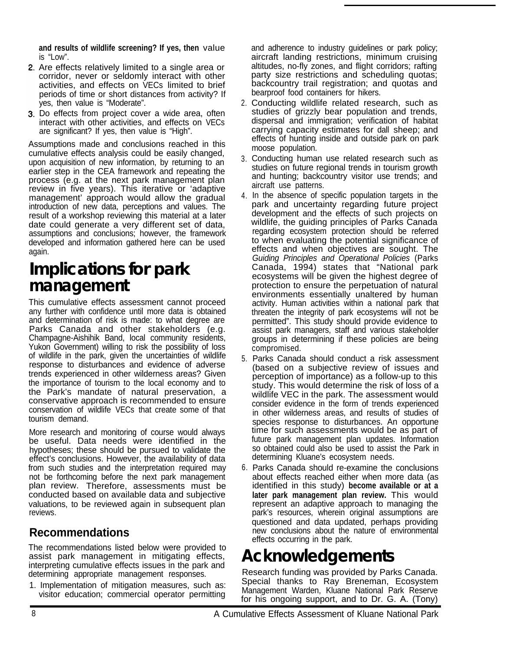**and results of wildlife screening? If yes, then** value is "Low".

- 2. Are effects relatively limited to a single area or corridor, never or seldomly interact with other activities, and effects on VECs limited to brief periods of time or short distances from activity? If yes, then value is "Moderate".
- **3.** Do effects from project cover a wide area, often interact with other activities, and effects on VECs are significant? If yes, then value is "High".

Assumptions made and conclusions reached in this cumulative effects analysis could be easily changed, upon acquisition of new information, by returning to an earlier step in the CEA framework and repeating the process (e.g. at the next park management plan review in five years). This iterative or 'adaptive management' approach would allow the gradual introduction of new data, perceptions and values. The result of a workshop reviewing this material at a later date could generate a very different set of data, assumptions and conclusions; however, the framework developed and information gathered here can be used again.

## **Implications for park management**

This cumulative effects assessment cannot proceed any further with confidence until more data is obtained and determination of risk is made: to what degree are Parks Canada and other stakeholders (e.g. Champagne-Aishihik Band, local community residents, Yukon Government) willing to risk the possibility of loss of wildlife in the park, given the uncertainties of wildlife response to disturbances and evidence of adverse trends experienced in other wilderness areas? Given the importance of tourism to the local economy and to the Park's mandate of natural preservation, a conservative approach is recommended to ensure conservation of wildlife VECs that create some of that tourism demand.

More research and monitoring of course would always be useful. Data needs were identified in the hypotheses; these should be pursued to validate the effect's conclusions. However, the availability of data from such studies and the interpretation required may not be forthcoming before the next park management plan review. Therefore, assessments must be conducted based on available data and subjective valuations, to be reviewed again in subsequent plan reviews.

## **Recommendations**

The recommendations listed below were provided to assist park management in mitigating effects, interpreting cumulative effects issues in the park and determining appropriate management responses.

1. Implementation of mitigation measures, such as: visitor education; commercial operator permitting and adherence to industry guidelines or park policy; aircraft landing restrictions, minimum cruising altitudes, no-fly zones, and flight corridors; rafting party size restrictions and scheduling quotas; backcountry trail registration; and quotas and bearproof food containers for hikers.

- 2. Conducting wildlife related research, such as studies of grizzly bear population and trends, dispersal and immigration; verification of habitat carrying capacity estimates for dall sheep; and effects of hunting inside and outside park on park moose population.
- 3. Conducting human use related research such as studies on future regional trends in tourism growth and hunting; backcountry visitor use trends; and aircraft use patterns.
- 4. In the absence of specific population targets in the park and uncertainty regarding future project development and the effects of such projects on wildlife, the guiding principles of Parks Canada regarding ecosystem protection should be referred to when evaluating the potential significance of effects and when objectives are sought. The *Guiding Principles and Operational Policies* (Parks Canada, 1994) states that "National park ecosystems will be given the highest degree of protection to ensure the perpetuation of natural environments essentially unaltered by human activity. Human activities within a national park that threaten the integrity of park ecosystems will not be permitted". This study should provide evidence to assist park managers, staff and various stakeholder groups in determining if these policies are being compromised.
- 5. Parks Canada should conduct a risk assessment (based on a subjective review of issues and perception of importance) as a follow-up to this study. This would determine the risk of loss of a wildlife VEC in the park. The assessment would consider evidence in the form of trends experienced in other wilderness areas, and results of studies of species response to disturbances. An opportune time for such assessments would be as part of future park management plan updates. Information so obtained could also be used to assist the Park in determining Kluane's ecosystem needs.
- 6. Parks Canada should re-examine the conclusions about effects reached either when more data (as identified in this study) **become available or at a later park management plan review.** This would represent an adaptive approach to managing the park's resources, wherein original assumptions are questioned and data updated, perhaps providing new conclusions about the nature of environmental effects occurring in the park.

# **Acknowledgements**

Research funding was provided by Parks Canada. Special thanks to Ray Breneman, Ecosystem Management Warden, Kluane National Park Reserve for his ongoing support, and to Dr. G. A. (Tony)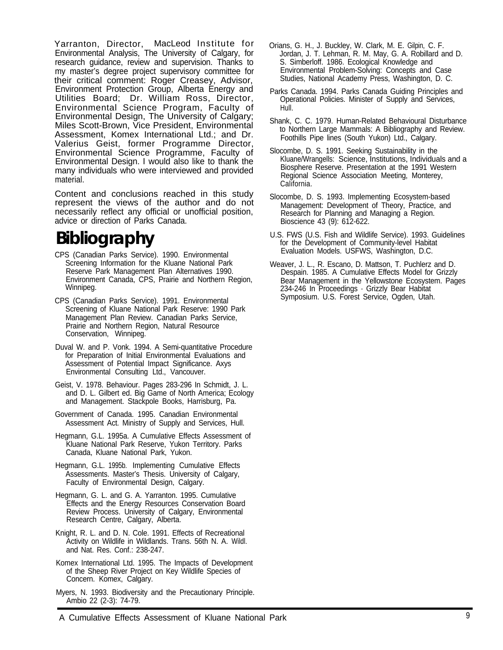Yarranton, Director, MacLeod Institute for Environmental Analysis, The University of Calgary, for research guidance, review and supervision. Thanks to my master's degree project supervisory committee for their critical comment: Roger Creasey, Advisor, Environment Protection Group, Alberta Energy and Utilities Board; Dr. William Ross, Director, Environmental Science Program, Faculty of Environmental Design, The University of Calgary; Miles Scott-Brown, Vice President, Environmental Assessment, Komex International Ltd.; and Dr. Valerius Geist, former Programme Director, Environmental Science Programme, Faculty of Environmental Design. I would also like to thank the many individuals who were interviewed and provided material.

Content and conclusions reached in this study represent the views of the author and do not Slocombe, D. S. 1993. Implementing Ecosystem-based necessarily reflect any official or unofficial position, necessarily reflect any official or unofficial position, and research for Planning and Managing a Region.<br>advice or direction of Parks Canada.

# **Bibliography**

- CPS (Canadian Parks Service). 1990. Environmental Screening Information for the Kluane National Park Reserve Park Management Plan Alternatives 1990. Environment Canada, CPS, Prairie and Northern Region, Winnipeg.
- CPS (Canadian Parks Service). 1991. Environmental Screening of Kluane National Park Reserve: 1990 Park Management Plan Review. Canadian Parks Service, Prairie and Northern Region, Natural Resource Conservation, Winnipeg.
- Duval W. and P. Vonk. 1994. A Semi-quantitative Procedure for Preparation of Initial Environmental Evaluations and Assessment of Potential Impact Significance. Axys Environmental Consulting Ltd., Vancouver.
- Geist, V. 1978. Behaviour. Pages 283-296 In Schmidt, J. L. and D. L. Gilbert ed. Big Game of North America; Ecology and Management. Stackpole Books, Harrisburg, Pa.
- Government of Canada. 1995. Canadian Environmental Assessment Act. Ministry of Supply and Services, Hull.
- Hegmann, G.L. 1995a. A Cumulative Effects Assessment of Kluane National Park Reserve, Yukon Territory. Parks Canada, Kluane National Park, Yukon.
- Hegmann, G.L. 1995b. Implementing Cumulative Effects Assessments. Master's Thesis. University of Calgary, Faculty of Environmental Design, Calgary.
- Hegmann, G. L. and G. A. Yarranton. 1995. Cumulative Effects and the Energy Resources Conservation Board Review Process. University of Calgary, Environmental Research Centre, Calgary, Alberta.
- Knight, R. L. and D. N. Cole. 1991. Effects of Recreational Activity on Wildlife in Wildlands. Trans. 56th N. A. Wildl. and Nat. Res. Conf.: 238-247.
- Komex International Ltd. 1995. The Impacts of Development of the Sheep River Project on Key Wildlife Species of Concern. Komex, Calgary.
- Myers, N. 1993. Biodiversity and the Precautionary Principle. Ambio 22 (2-3): 74-79.
- Orians, G. H., J. Buckley, W. Clark, M. E. Gilpin, C. F. Jordan, J. T. Lehman, R. M. May, G. A. Robillard and D. S. Simberloff. 1986. Ecological Knowledge and Environmental Problem-Solving: Concepts and Case Studies, National Academy Press, Washington, D. C.
- Parks Canada. 1994. Parks Canada Guiding Principles and Operational Policies. Minister of Supply and Services, Hull.
- Shank, C. C. 1979. Human-Related Behavioural Disturbance to Northern Large Mammals: A Bibliography and Review. Foothills Pipe lines (South Yukon) Ltd., Calgary.
- Slocombe, D. S. 1991. Seeking Sustainability in the Kluane/Wrangells: Science, Institutions, Individuals and a Biosphere Reserve. Presentation at the 1991 Western Regional Science Association Meeting, Monterey, California.
- Bioscience 43 (9): 612-622.
- U.S. FWS (U.S. Fish and Wildlife Service). 1993. Guidelines for the Development of Community-level Habitat Evaluation Models. USFWS, Washington, D.C.
- Weaver, J. L., R. Escano, D. Mattson, T. Puchlerz and D. Despain. 1985. A Cumulative Effects Model for Grizzly Bear Management in the Yellowstone Ecosystem. Pages 234-246 In Proceedings - Grizzly Bear Habitat Symposium. U.S. Forest Service, Ogden, Utah.

A Cumulative Effects Assessment of Kluane National Park and the contract of  $9$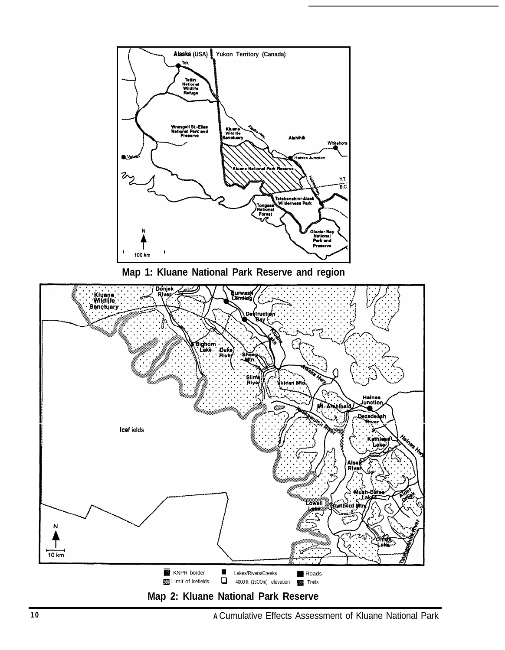

**Map 1: Kluane National Park Reserve and region**

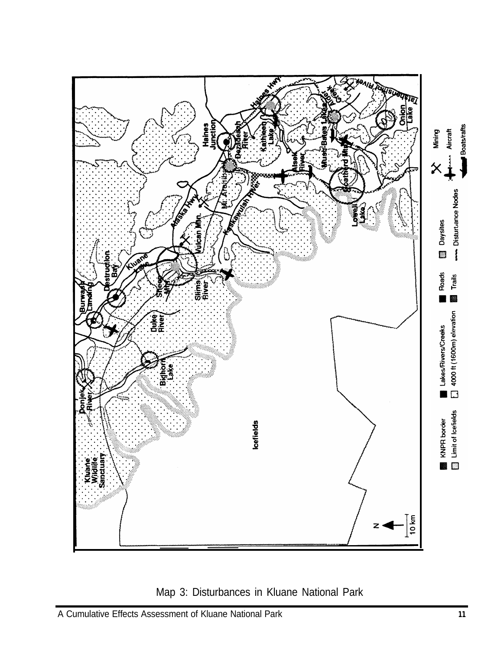

Map 3: Disturbances in Kluane National Park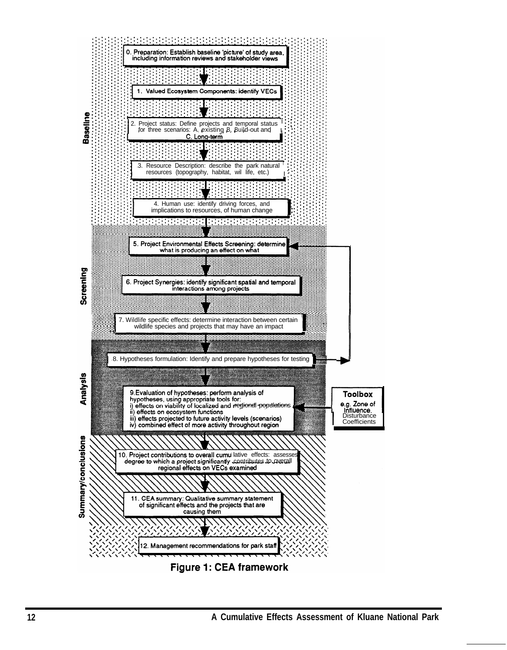

Figure 1: CEA framework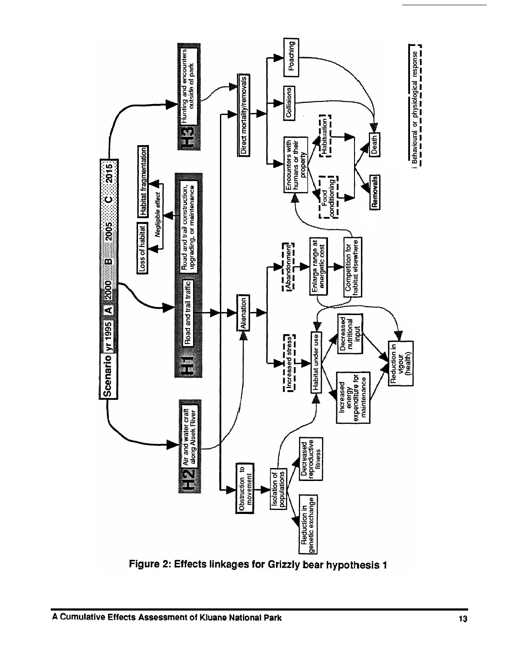

Figure 2: Effects linkages for Grizzly bear hypothesis 1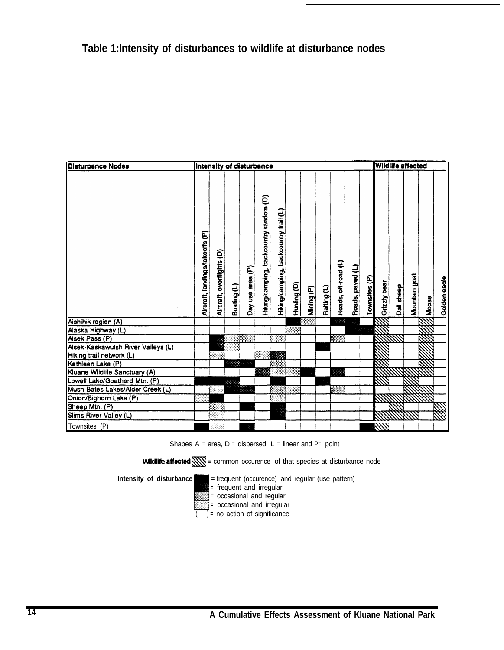| <b>Disturbance Nodes</b>           | Intensity of disturbance        |                           |             |                  |                                        |                                       |             |            |             | <b>Wildlife affected</b> |                  |               |                |            |               |        |              |
|------------------------------------|---------------------------------|---------------------------|-------------|------------------|----------------------------------------|---------------------------------------|-------------|------------|-------------|--------------------------|------------------|---------------|----------------|------------|---------------|--------|--------------|
|                                    | Aircraft, landings/takeoffs (P) | Aircraft, overflights (D) | Boating (L) | Day use area (P) | Hiking/camping, backcountry random (D) | Hiking/camping, backcountry trail (L) | Hunting (D) | Mining (P) | Rafting (L) | Roads, off-road (L)      | Roads, paved (L) | Townsites (P) | d Grizzly bear | Dall sheep | Mountain goat | AMoose | Golden eagle |
| Aishihik region (A)                |                                 |                           |             |                  |                                        |                                       |             |            |             | - 38                     |                  |               |                |            |               |        |              |
| Alaska Highway (L)                 |                                 |                           |             |                  |                                        |                                       |             |            |             |                          |                  |               |                |            |               |        |              |
| Alsek Pass (P)                     |                                 |                           |             |                  |                                        |                                       |             |            |             |                          |                  |               |                |            |               |        |              |
| Alsek-Kaskawulsh River Valleys (L) |                                 |                           |             |                  |                                        |                                       |             |            |             |                          |                  |               |                |            |               |        |              |
| Hiking trail network (L)           |                                 |                           |             |                  |                                        |                                       |             |            |             |                          |                  |               |                |            |               |        |              |
| Kathleen Lake (P)                  |                                 |                           |             |                  |                                        |                                       |             |            |             |                          |                  |               |                |            |               |        |              |
| Kluane Wildlife Sanctuary (A)      |                                 |                           |             |                  |                                        |                                       |             |            |             |                          |                  |               |                |            |               |        |              |
| Lowell Lake/Goatherd Mtn. (P)      |                                 |                           |             |                  |                                        |                                       |             |            |             |                          |                  |               |                |            |               |        |              |
| Mush-Bates Lakes/Alder Creek (L)   |                                 |                           |             |                  |                                        |                                       |             |            |             |                          |                  |               |                |            |               |        |              |
| Onion/Bighorn Lake (P)             |                                 |                           |             |                  |                                        |                                       |             |            |             |                          |                  |               |                |            |               |        |              |
| Sheep Mtn. (P)                     |                                 |                           |             |                  |                                        |                                       |             |            |             |                          |                  |               |                |            |               |        |              |
| Slims River Valley (L)             |                                 |                           |             |                  |                                        |                                       |             |            |             |                          |                  |               |                |            |               |        |              |
| Townsites (P)                      |                                 |                           |             |                  |                                        |                                       |             |            |             |                          |                  |               | <b>RYM</b>     |            |               |        |              |

Shapes  $A = area$ ,  $D = distance$  dispersed,  $L =$  linear and  $P =$  point

Wildlife **affected**  $\sum$  = common occurence of that species at disturbance node

**Intensity of disturbance**  $=$  **Figure 1** = **frequent** (occurence) and regular (use pattern)

- = frequent and irregular
- = occasional and regular
- <sup>=</sup> occasional and irregular
- $\overline{()}$  = no action of significance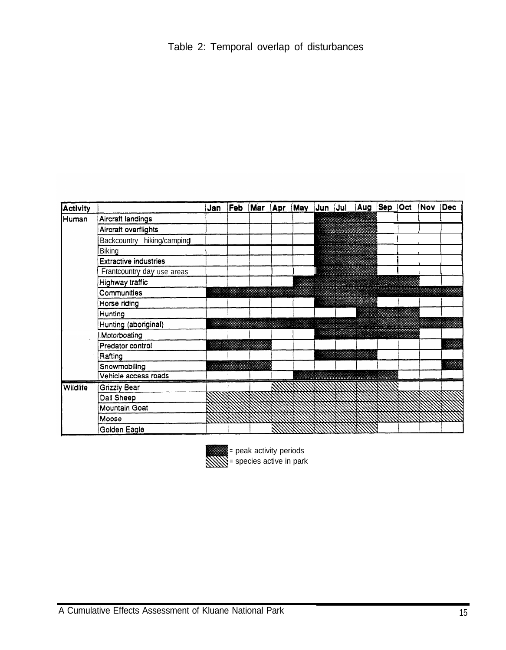| <b>Activity</b> |                              | Jan |  |  | Feb (Mar (Apr (May Jun Jul  Aug  Sep  Oct  Nov  Dec |  |  |
|-----------------|------------------------------|-----|--|--|-----------------------------------------------------|--|--|
| Human           | Aircraft landings            |     |  |  |                                                     |  |  |
|                 | Aircraft overflights         |     |  |  |                                                     |  |  |
|                 | Backcountry hiking/camping   |     |  |  |                                                     |  |  |
|                 | Biking                       |     |  |  |                                                     |  |  |
|                 | <b>Extractive industries</b> |     |  |  |                                                     |  |  |
|                 | Frantcountry day use areas   |     |  |  |                                                     |  |  |
|                 | Highway traffic              |     |  |  |                                                     |  |  |
|                 | Communities                  |     |  |  |                                                     |  |  |
|                 | Horse riding                 |     |  |  |                                                     |  |  |
|                 | Hunting                      |     |  |  |                                                     |  |  |
|                 | Hunting (aboriginal)         |     |  |  |                                                     |  |  |
|                 | Motorboating                 |     |  |  |                                                     |  |  |
|                 | Predator control             |     |  |  |                                                     |  |  |
|                 | Rafting                      |     |  |  |                                                     |  |  |
|                 | Snowmobiling                 |     |  |  |                                                     |  |  |
|                 | Vehicle access roads         |     |  |  |                                                     |  |  |
| Wildlife        | <b>Grizzly Bear</b>          |     |  |  |                                                     |  |  |
|                 | Dall Sheep                   |     |  |  |                                                     |  |  |
|                 | Mountain Goat                |     |  |  |                                                     |  |  |
|                 | Moose                        |     |  |  |                                                     |  |  |
|                 | Golden Eagle                 |     |  |  |                                                     |  |  |



= peak activity periods<br>
Secrets active in park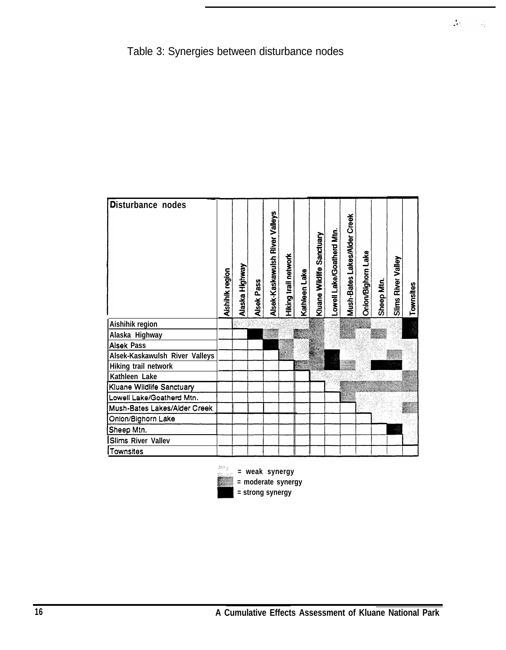

 $\frac{1}{2} \Delta \phi = 0$ 

i viç

| Disturbance nodes              |  | Alaska Highway | <b>Alsek Pass</b> | Alsek-Kaskawulsh River Valleys | Hiking trail network | Kathleen Lake | Kluane Wildlife Sanctuary | Lowell Lake/Goatherd Mtn. | Mush-Bates Lakes/Alder Creek | Onion/Bighorn Lake | Sheep Mtn. | Slims River Valley | Townsites |
|--------------------------------|--|----------------|-------------------|--------------------------------|----------------------|---------------|---------------------------|---------------------------|------------------------------|--------------------|------------|--------------------|-----------|
| Aishihik region                |  |                |                   |                                |                      |               |                           |                           |                              |                    |            |                    |           |
| Alaska Highway                 |  |                |                   |                                |                      |               |                           |                           |                              |                    |            |                    |           |
| <b>Alsek Pass</b>              |  |                |                   |                                |                      |               |                           |                           |                              |                    |            |                    |           |
| Alsek-Kaskawulsh River Valleys |  |                |                   |                                |                      |               |                           |                           |                              |                    |            |                    |           |
| Hiking trail network           |  |                |                   |                                |                      |               |                           |                           |                              |                    |            |                    |           |
| Kathleen Lake                  |  |                |                   |                                |                      |               |                           |                           |                              |                    |            |                    |           |
| Kluane Wildlife Sanctuary      |  |                |                   |                                |                      |               |                           |                           |                              |                    |            |                    |           |
| Lowell Lake/Goatherd Mtn.      |  |                |                   |                                |                      |               |                           |                           |                              |                    |            |                    |           |
| Mush-Bates Lakes/Alder Creek   |  |                |                   |                                |                      |               |                           |                           |                              |                    |            |                    |           |
| Onion/Bighorn Lake             |  |                |                   |                                |                      |               |                           |                           |                              |                    |            |                    |           |
| Sheep Mtn.                     |  |                |                   |                                |                      |               |                           |                           |                              |                    |            | Ť                  |           |
| Slims River Vallev             |  |                |                   |                                |                      |               |                           |                           |                              |                    |            |                    |           |
| Townsites                      |  |                |                   |                                |                      |               |                           |                           |                              |                    |            |                    |           |

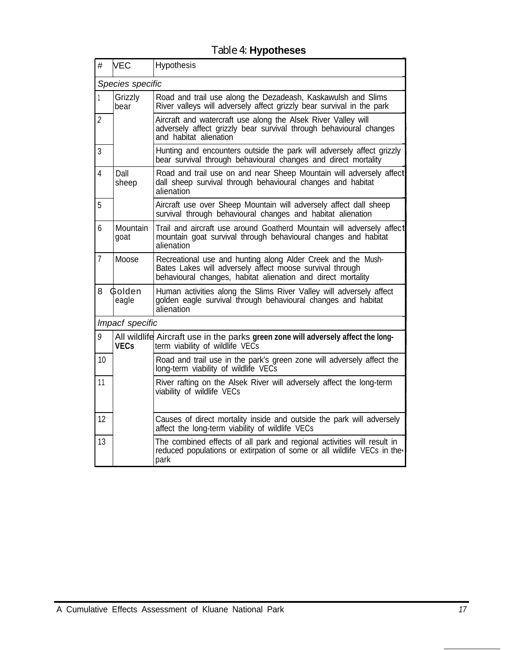| #              | <b>VEC</b>       | Hypothesis                                                                                                                                                                               |  |  |  |  |  |  |  |  |
|----------------|------------------|------------------------------------------------------------------------------------------------------------------------------------------------------------------------------------------|--|--|--|--|--|--|--|--|
|                | Species specific |                                                                                                                                                                                          |  |  |  |  |  |  |  |  |
| 1              | Grizzly<br>bear  | Road and trail use along the Dezadeash, Kaskawulsh and Slims<br>River valleys will adversely affect grizzly bear survival in the park                                                    |  |  |  |  |  |  |  |  |
| $\overline{c}$ |                  | Aircraft and watercraft use along the Alsek River Valley will<br>adversely affect grizzly bear survival through behavioural changes<br>and habitat alienation                            |  |  |  |  |  |  |  |  |
| 3              |                  | Hunting and encounters outside the park will adversely affect grizzly<br>bear survival through behavioural changes and direct mortality                                                  |  |  |  |  |  |  |  |  |
| $\overline{4}$ | Dall<br>sheep    | Road and trail use on and near Sheep Mountain will adversely affect<br>dall sheep survival through behavioural changes and habitat<br>alienation                                         |  |  |  |  |  |  |  |  |
| 5              |                  | Aircraft use over Sheep Mountain will adversely affect dall sheep<br>survival through behavioural changes and habitat alienation                                                         |  |  |  |  |  |  |  |  |
| 6              | Mountain<br>goat | Trail and aircraft use around Goatherd Mountain will adversely affect<br>mountain goat survival through behavioural changes and habitat<br>alienation                                    |  |  |  |  |  |  |  |  |
| $\overline{7}$ | Moose            | Recreational use and hunting along Alder Creek and the Mush-<br>Bates Lakes will adversely affect moose survival through<br>behavioural changes, habitat alienation and direct mortality |  |  |  |  |  |  |  |  |
| 8              | Golden<br>eagle  | Human activities along the Slims River Valley will adversely affect<br>golden eagle survival through behavioural changes and habitat<br>alienation                                       |  |  |  |  |  |  |  |  |
|                | Impacf specific  |                                                                                                                                                                                          |  |  |  |  |  |  |  |  |
| 9              | <b>VECs</b>      | All wildlife Aircraft use in the parks green zone will adversely affect the long-<br>term viability of wildlife VECs                                                                     |  |  |  |  |  |  |  |  |
| 10             |                  | Road and trail use in the park's green zone will adversely affect the<br>long-term viability of wildlife VECs                                                                            |  |  |  |  |  |  |  |  |
| 11             |                  | River rafting on the Alsek River will adversely affect the long-term<br>viability of wildlife VECs                                                                                       |  |  |  |  |  |  |  |  |
| 12             |                  | Causes of direct mortality inside and outside the park will adversely<br>affect the long-term viability of wildlife VECs                                                                 |  |  |  |  |  |  |  |  |
| 13             |                  | The combined effects of all park and regional activities will result in<br>reduced populations or extirpation of some or all wildlife VECs in the<br>park                                |  |  |  |  |  |  |  |  |

## Table 4: **Hypotheses**